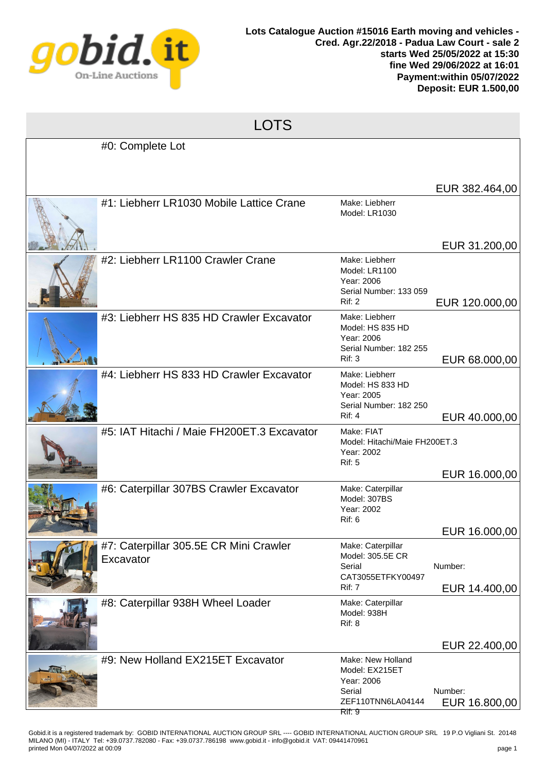

| Г<br>Л<br>ſ |
|-------------|
|-------------|

| #0: Complete Lot                                    |                                                                                            |                          |
|-----------------------------------------------------|--------------------------------------------------------------------------------------------|--------------------------|
|                                                     |                                                                                            | EUR 382.464,00           |
| #1: Liebherr LR1030 Mobile Lattice Crane            | Make: Liebherr<br>Model: LR1030                                                            | EUR 31.200,00            |
| #2: Liebherr LR1100 Crawler Crane                   | Make: Liebherr<br>Model: LR1100<br>Year: 2006<br>Serial Number: 133 059<br>Rif: 2          | EUR 120.000,00           |
| #3: Liebherr HS 835 HD Crawler Excavator            | Make: Liebherr<br>Model: HS 835 HD<br>Year: 2006<br>Serial Number: 182 255<br>Rif: 3       | EUR 68.000,00            |
| #4: Liebherr HS 833 HD Crawler Excavator            | Make: Liebherr<br>Model: HS 833 HD<br>Year: 2005<br>Serial Number: 182 250<br>Rif: 4       | EUR 40.000,00            |
| #5: IAT Hitachi / Maie FH200ET.3 Excavator          | Make: FIAT<br>Model: Hitachi/Maie FH200ET.3<br>Year: 2002<br><b>Rif: 5</b>                 | EUR 16.000,00            |
| #6: Caterpillar 307BS Crawler Excavator             | Make: Caterpillar<br>Model: 307BS<br>Year: 2002<br><b>Rif: 6</b>                           | EUR 16.000,00            |
| #7: Caterpillar 305.5E CR Mini Crawler<br>Excavator | Make: Caterpillar<br>Model: 305.5E CR<br>Serial<br>CAT3055ETFKY00497<br><b>Rif: 7</b>      | Number:<br>EUR 14.400,00 |
| #8: Caterpillar 938H Wheel Loader                   | Make: Caterpillar<br>Model: 938H<br>Rif: 8                                                 | EUR 22.400,00            |
| #9: New Holland EX215ET Excavator                   | Make: New Holland<br>Model: EX215ET<br>Year: 2006<br>Serial<br>ZEF110TNN6LA04144<br>Rif: 9 | Number:<br>EUR 16.800,00 |